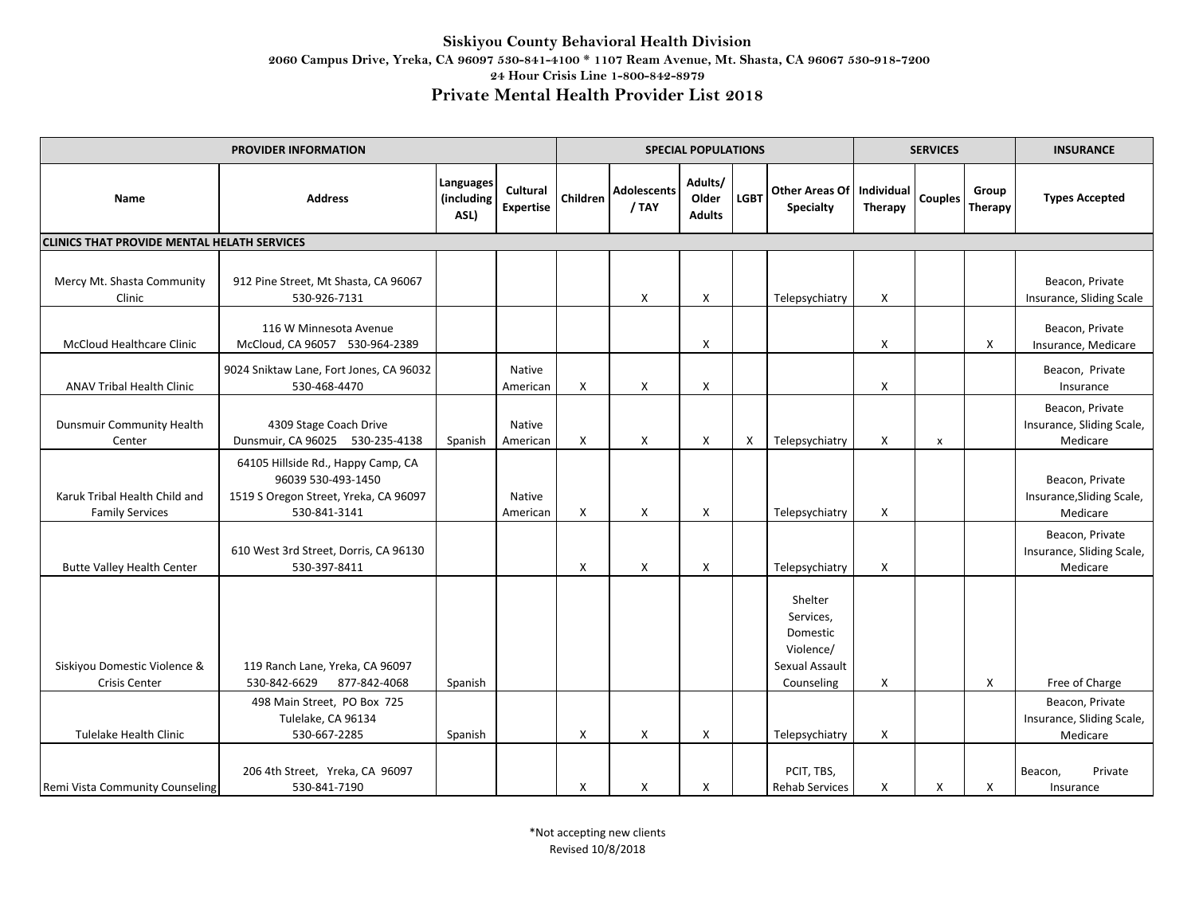| <b>PROVIDER INFORMATION</b>                             |                                                                                                                   |                                 |                              |          |                             | <b>SPECIAL POPULATIONS</b>        |                           |                                                                               | <b>SERVICES</b>              |                |                         | <b>INSURANCE</b>                                         |
|---------------------------------------------------------|-------------------------------------------------------------------------------------------------------------------|---------------------------------|------------------------------|----------|-----------------------------|-----------------------------------|---------------------------|-------------------------------------------------------------------------------|------------------------------|----------------|-------------------------|----------------------------------------------------------|
| <b>Name</b>                                             | <b>Address</b>                                                                                                    | Languages<br>(including<br>ASL) | Cultural<br><b>Expertise</b> | Children | <b>Adolescents</b><br>/ TAY | Adults/<br>Older<br><b>Adults</b> | <b>LGBT</b>               | <b>Other Areas Of</b><br><b>Specialty</b>                                     | Individual<br><b>Therapy</b> | <b>Couples</b> | Group<br><b>Therapy</b> | <b>Types Accepted</b>                                    |
| <b>CLINICS THAT PROVIDE MENTAL HELATH SERVICES</b>      |                                                                                                                   |                                 |                              |          |                             |                                   |                           |                                                                               |                              |                |                         |                                                          |
| Mercy Mt. Shasta Community<br>Clinic                    | 912 Pine Street, Mt Shasta, CA 96067<br>530-926-7131                                                              |                                 |                              |          | X                           | X                                 |                           | Telepsychiatry                                                                | X                            |                |                         | Beacon, Private<br>Insurance, Sliding Scale              |
| <b>McCloud Healthcare Clinic</b>                        | 116 W Minnesota Avenue<br>McCloud, CA 96057 530-964-2389                                                          |                                 |                              |          |                             | X                                 |                           |                                                                               | X                            |                | X                       | Beacon, Private<br>Insurance, Medicare                   |
| <b>ANAV Tribal Health Clinic</b>                        | 9024 Sniktaw Lane, Fort Jones, CA 96032<br>530-468-4470                                                           |                                 | Native<br>American           | X        | Χ                           | Χ                                 |                           |                                                                               | X                            |                |                         | Beacon, Private<br>Insurance                             |
| <b>Dunsmuir Community Health</b><br>Center              | 4309 Stage Coach Drive<br>Dunsmuir, CA 96025 530-235-4138                                                         | Spanish                         | Native<br>American           | X        | X                           | X                                 | $\boldsymbol{\mathsf{x}}$ | Telepsychiatry                                                                | X                            | $\pmb{\times}$ |                         | Beacon, Private<br>Insurance, Sliding Scale,<br>Medicare |
| Karuk Tribal Health Child and<br><b>Family Services</b> | 64105 Hillside Rd., Happy Camp, CA<br>96039 530-493-1450<br>1519 S Oregon Street, Yreka, CA 96097<br>530-841-3141 |                                 | Native<br>American           | X        | X                           | X                                 |                           | Telepsychiatry                                                                | X                            |                |                         | Beacon, Private<br>Insurance, Sliding Scale,<br>Medicare |
| <b>Butte Valley Health Center</b>                       | 610 West 3rd Street, Dorris, CA 96130<br>530-397-8411                                                             |                                 |                              | X        | X                           | $\boldsymbol{\mathsf{X}}$         |                           | Telepsychiatry                                                                | X                            |                |                         | Beacon, Private<br>Insurance, Sliding Scale,<br>Medicare |
| Siskiyou Domestic Violence &<br>Crisis Center           | 119 Ranch Lane, Yreka, CA 96097<br>530-842-6629<br>877-842-4068                                                   | Spanish                         |                              |          |                             |                                   |                           | Shelter<br>Services,<br>Domestic<br>Violence/<br>Sexual Assault<br>Counseling | X                            |                | X                       | Free of Charge                                           |
| Tulelake Health Clinic                                  | 498 Main Street, PO Box 725<br>Tulelake, CA 96134<br>530-667-2285                                                 | Spanish                         |                              | X        | X                           | $\boldsymbol{\mathsf{X}}$         |                           | Telepsychiatry                                                                | X                            |                |                         | Beacon, Private<br>Insurance, Sliding Scale,<br>Medicare |
| Remi Vista Community Counseling                         | 206 4th Street, Yreka, CA 96097<br>530-841-7190                                                                   |                                 |                              | X        | Χ                           | X                                 |                           | PCIT, TBS,<br><b>Rehab Services</b>                                           | X                            | X              | X                       | Private<br>Beacon,<br>Insurance                          |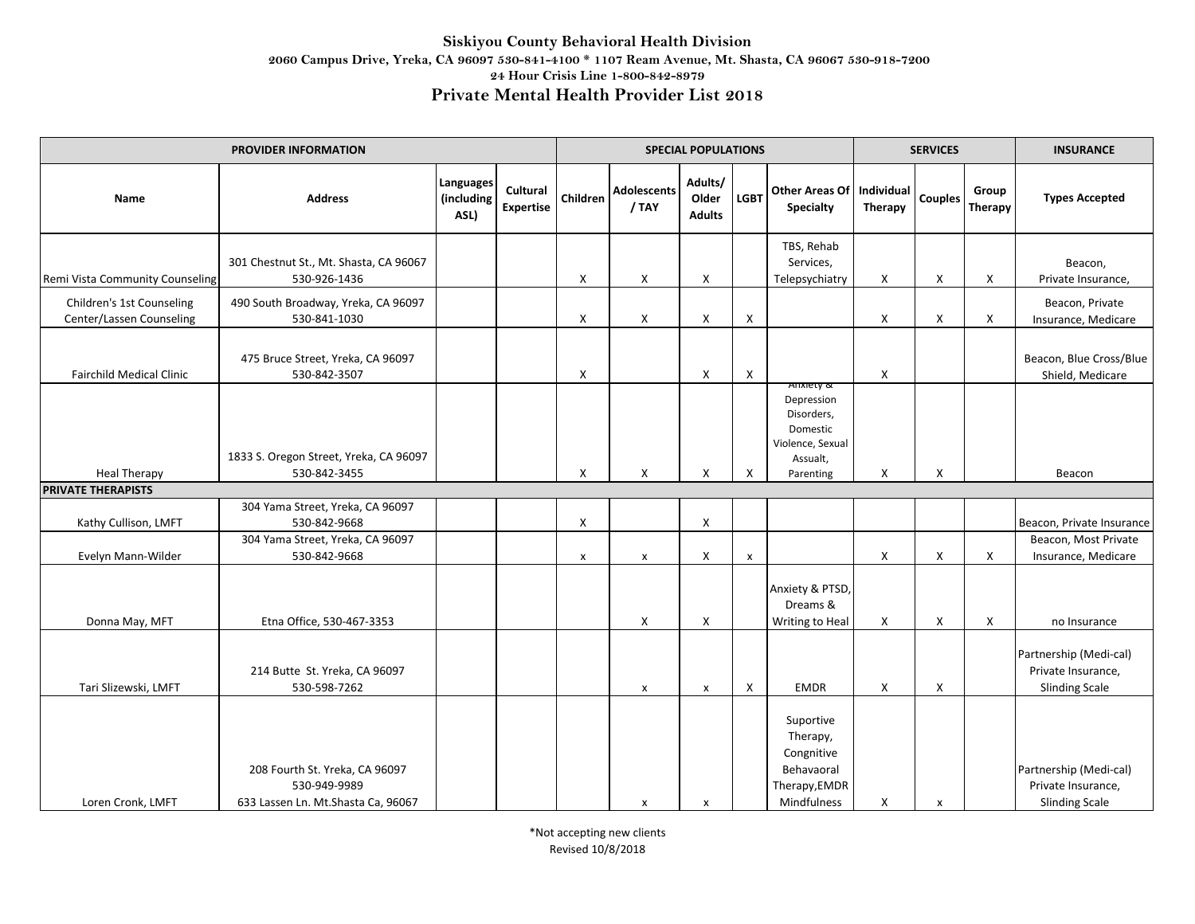| <b>PROVIDER INFORMATION</b>                           |                                                                                       |                                        |                              |              |                             | <b>SPECIAL POPULATIONS</b>        |                |                                                                                   | <b>SERVICES</b>              |                           |                         | <b>INSURANCE</b>                                                      |
|-------------------------------------------------------|---------------------------------------------------------------------------------------|----------------------------------------|------------------------------|--------------|-----------------------------|-----------------------------------|----------------|-----------------------------------------------------------------------------------|------------------------------|---------------------------|-------------------------|-----------------------------------------------------------------------|
| Name                                                  | <b>Address</b>                                                                        | <b>Languages</b><br>(including<br>ASL) | Cultural<br><b>Expertise</b> | Children     | <b>Adolescents</b><br>/ TAY | Adults/<br>Older<br><b>Adults</b> | <b>LGBT</b>    | <b>Other Areas Of</b><br>Specialty                                                | Individual<br><b>Therapy</b> | <b>Couples</b>            | Group<br><b>Therapy</b> | <b>Types Accepted</b>                                                 |
| Remi Vista Community Counseling                       | 301 Chestnut St., Mt. Shasta, CA 96067<br>530-926-1436                                |                                        |                              | X            | X                           | X                                 |                | TBS, Rehab<br>Services,<br>Telepsychiatry                                         | X                            | X                         | X                       | Beacon,<br>Private Insurance,                                         |
| Children's 1st Counseling<br>Center/Lassen Counseling | 490 South Broadway, Yreka, CA 96097<br>530-841-1030                                   |                                        |                              | X            | $\pmb{\times}$              | X                                 | X              |                                                                                   | X                            | X                         | X                       | Beacon, Private<br>Insurance, Medicare                                |
| <b>Fairchild Medical Clinic</b>                       | 475 Bruce Street, Yreka, CA 96097<br>530-842-3507                                     |                                        |                              | X            |                             | X                                 | X              |                                                                                   | X                            |                           |                         | Beacon, Blue Cross/Blue<br>Shield, Medicare                           |
|                                                       | 1833 S. Oregon Street, Yreka, CA 96097                                                |                                        |                              |              |                             |                                   |                | Anxiety &<br>Depression<br>Disorders,<br>Domestic<br>Violence, Sexual<br>Assualt, |                              |                           |                         |                                                                       |
| <b>Heal Therapy</b>                                   | 530-842-3455                                                                          |                                        |                              | X            | X                           | X                                 | X              | Parenting                                                                         | X                            | X                         |                         | Beacon                                                                |
| <b>PRIVATE THERAPISTS</b>                             |                                                                                       |                                        |                              |              |                             |                                   |                |                                                                                   |                              |                           |                         |                                                                       |
| Kathy Cullison, LMFT                                  | 304 Yama Street, Yreka, CA 96097<br>530-842-9668                                      |                                        |                              | X            |                             | X                                 |                |                                                                                   |                              |                           |                         | Beacon, Private Insurance                                             |
| Evelyn Mann-Wilder                                    | 304 Yama Street, Yreka, CA 96097<br>530-842-9668                                      |                                        |                              | $\pmb{\chi}$ | $\pmb{\times}$              | $\pmb{\times}$                    | $\pmb{\times}$ |                                                                                   | X                            | X                         | X                       | Beacon, Most Private<br>Insurance, Medicare                           |
| Donna May, MFT                                        | Etna Office, 530-467-3353                                                             |                                        |                              |              | X                           | X                                 |                | Anxiety & PTSD,<br>Dreams &<br>Writing to Heal                                    | X                            | X                         | X                       | no Insurance                                                          |
| Tari Slizewski, LMFT                                  | 214 Butte St. Yreka, CA 96097<br>530-598-7262                                         |                                        |                              |              | $\pmb{\times}$              | $\pmb{\times}$                    | X              | <b>EMDR</b>                                                                       | X                            | $\boldsymbol{\mathsf{X}}$ |                         | Partnership (Medi-cal)<br>Private Insurance,<br><b>Slinding Scale</b> |
| Loren Cronk, LMFT                                     | 208 Fourth St. Yreka, CA 96097<br>530-949-9989<br>633 Lassen Ln. Mt. Shasta Ca, 96067 |                                        |                              |              | х                           | х                                 |                | Suportive<br>Therapy,<br>Congnitive<br>Behavaoral<br>Therapy, EMDR<br>Mindfulness | X                            | x                         |                         | Partnership (Medi-cal)<br>Private Insurance,<br><b>Slinding Scale</b> |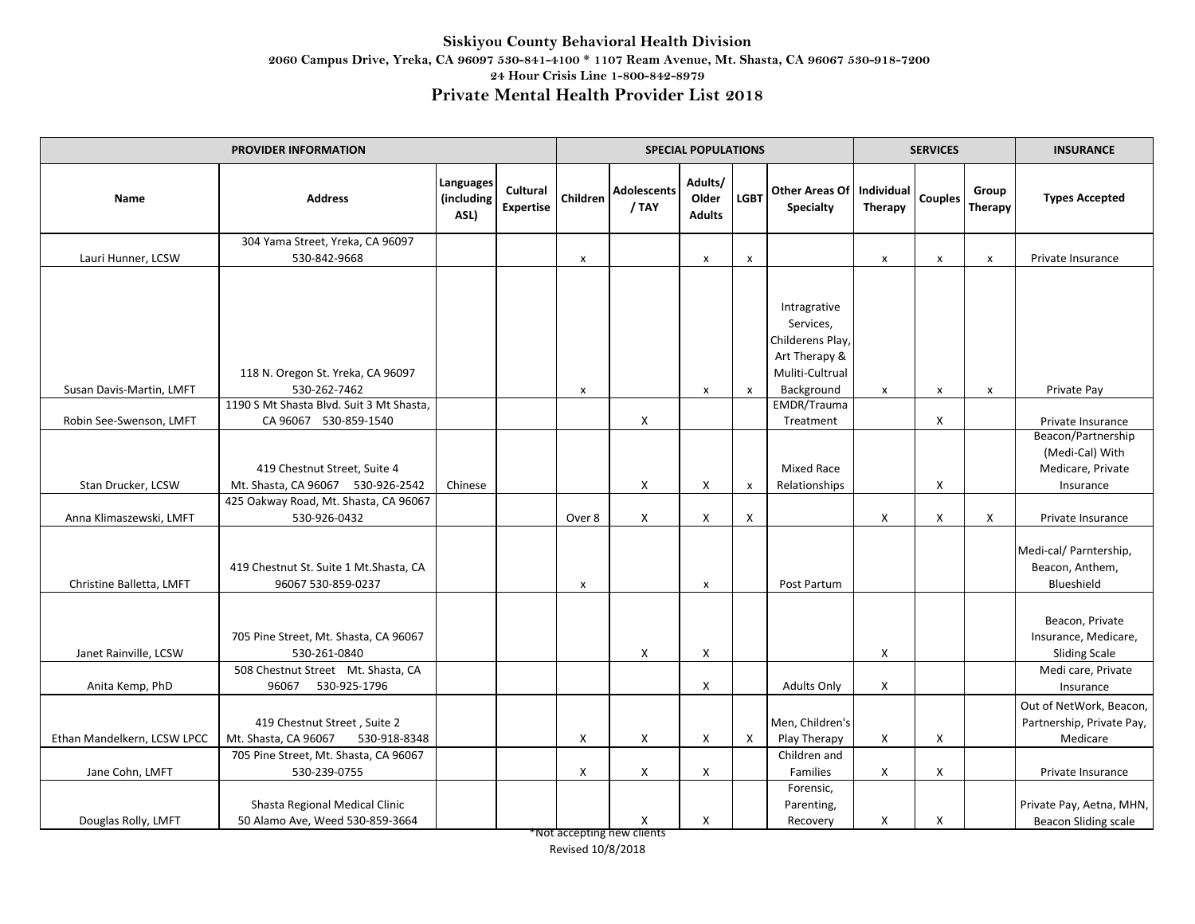| PROVIDER INFORMATION        |                                                                      |                                 |                              |                    |                             | <b>SPECIAL POPULATIONS</b>        |                           |                                                                                   | <b>SERVICES</b>       |                |                         | <b>INSURANCE</b>                                                        |
|-----------------------------|----------------------------------------------------------------------|---------------------------------|------------------------------|--------------------|-----------------------------|-----------------------------------|---------------------------|-----------------------------------------------------------------------------------|-----------------------|----------------|-------------------------|-------------------------------------------------------------------------|
| Name                        | <b>Address</b>                                                       | Languages<br>(including<br>ASL) | Cultural<br><b>Expertise</b> | Children           | <b>Adolescents</b><br>/ TAY | Adults/<br>Older<br><b>Adults</b> | <b>LGBT</b>               | <b>Other Areas Of</b><br>Specialty                                                | Individual<br>Therapy | <b>Couples</b> | Group<br><b>Therapy</b> | <b>Types Accepted</b>                                                   |
|                             | 304 Yama Street, Yreka, CA 96097                                     |                                 |                              |                    |                             |                                   |                           |                                                                                   |                       |                |                         |                                                                         |
| Lauri Hunner, LCSW          | 530-842-9668                                                         |                                 |                              | $\pmb{\mathsf{x}}$ |                             | $\pmb{\mathsf{x}}$                | $\boldsymbol{\mathsf{x}}$ |                                                                                   | $\pmb{\times}$        | $\pmb{\times}$ | $\pmb{\mathsf{X}}$      | Private Insurance                                                       |
|                             | 118 N. Oregon St. Yreka, CA 96097                                    |                                 |                              |                    |                             |                                   |                           | Intragrative<br>Services,<br>Childerens Play,<br>Art Therapy &<br>Muliti-Cultrual |                       |                |                         |                                                                         |
| Susan Davis-Martin, LMFT    | 530-262-7462<br>1190 S Mt Shasta Blvd. Suit 3 Mt Shasta,             |                                 |                              | x                  |                             | $\pmb{\mathsf{x}}$                | $\pmb{\times}$            | Background<br>EMDR/Trauma                                                         | $\pmb{\mathsf{x}}$    | $\pmb{\times}$ | $\pmb{\times}$          | Private Pay                                                             |
| Robin See-Swenson, LMFT     | CA 96067 530-859-1540                                                |                                 |                              |                    | X                           |                                   |                           | Treatment                                                                         |                       | X              |                         | Private Insurance                                                       |
| Stan Drucker, LCSW          | 419 Chestnut Street, Suite 4<br>Mt. Shasta, CA 96067 530-926-2542    | Chinese                         |                              |                    | X                           | X                                 | $\boldsymbol{\mathsf{x}}$ | <b>Mixed Race</b><br>Relationships                                                |                       | X              |                         | Beacon/Partnership<br>(Medi-Cal) With<br>Medicare, Private<br>Insurance |
|                             | 425 Oakway Road, Mt. Shasta, CA 96067                                |                                 |                              |                    |                             |                                   |                           |                                                                                   |                       |                |                         |                                                                         |
| Anna Klimaszewski, LMFT     | 530-926-0432                                                         |                                 |                              | Over 8             | X                           | X                                 | X                         |                                                                                   | X                     | X              | X                       | Private Insurance                                                       |
| Christine Balletta, LMFT    | 419 Chestnut St. Suite 1 Mt. Shasta, CA<br>96067 530-859-0237        |                                 |                              | x                  |                             | $\pmb{\mathsf{x}}$                |                           | Post Partum                                                                       |                       |                |                         | Medi-cal/ Parntership,<br>Beacon, Anthem,<br>Blueshield                 |
| Janet Rainville, LCSW       | 705 Pine Street, Mt. Shasta, CA 96067<br>530-261-0840                |                                 |                              |                    | X                           | X                                 |                           |                                                                                   | Χ                     |                |                         | Beacon, Private<br>Insurance, Medicare,<br><b>Sliding Scale</b>         |
| Anita Kemp, PhD             | 508 Chestnut Street Mt. Shasta, CA<br>96067<br>530-925-1796          |                                 |                              |                    |                             | X                                 |                           | <b>Adults Only</b>                                                                | X                     |                |                         | Medi care, Private<br>Insurance                                         |
| Ethan Mandelkern, LCSW LPCC | 419 Chestnut Street, Suite 2<br>Mt. Shasta, CA 96067<br>530-918-8348 |                                 |                              | X                  | X                           | X                                 | $\mathsf{X}$              | Men, Children's<br>Play Therapy                                                   | X                     | X              |                         | Out of NetWork, Beacon,<br>Partnership, Private Pay,<br>Medicare        |
| Jane Cohn, LMFT             | 705 Pine Street, Mt. Shasta, CA 96067<br>530-239-0755                |                                 |                              | X                  | X                           | X                                 |                           | Children and<br>Families                                                          | X                     | X              |                         | Private Insurance                                                       |
| Douglas Rolly, LMFT         | Shasta Regional Medical Clinic<br>50 Alamo Ave, Weed 530-859-3664    |                                 |                              |                    | х                           | X                                 |                           | Forensic,<br>Parenting,<br>Recovery                                               | X                     | X              |                         | Private Pay, Aetna, MHN,<br><b>Beacon Sliding scale</b>                 |

\*Not accepting new clients Revised 10/8/2018